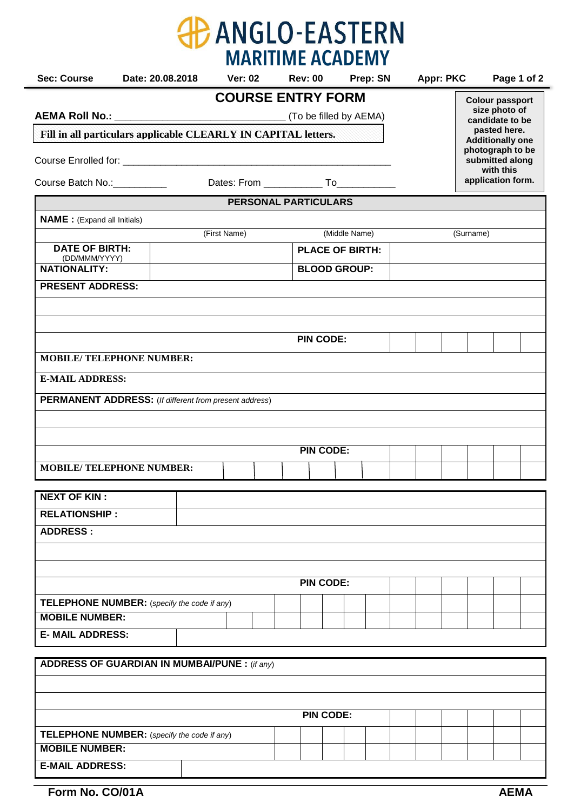|                                                                             |                                  |  |                          |  | <b>MARITIME ACADEMY</b>     |  |                                  |  |                  |  |           |                                         |  |
|-----------------------------------------------------------------------------|----------------------------------|--|--------------------------|--|-----------------------------|--|----------------------------------|--|------------------|--|-----------|-----------------------------------------|--|
| <b>Sec: Course</b>                                                          | Date: 20.08.2018                 |  | <b>Ver: 02</b>           |  | Rev: 00 Prep: SN            |  |                                  |  | <b>Appr: PKC</b> |  |           | Page 1 of 2                             |  |
|                                                                             |                                  |  | <b>COURSE ENTRY FORM</b> |  |                             |  |                                  |  |                  |  |           | <b>Colour passport</b>                  |  |
|                                                                             |                                  |  |                          |  |                             |  | size photo of<br>candidate to be |  |                  |  |           |                                         |  |
| Fill in all particulars applicable CLEARLY IN CAPITAL letters.              |                                  |  |                          |  |                             |  |                                  |  |                  |  |           | pasted here.<br><b>Additionally one</b> |  |
|                                                                             |                                  |  |                          |  |                             |  |                                  |  |                  |  |           | photograph to be<br>submitted along     |  |
| with this<br>application form.<br>Course Batch No.: Course Batch No.:       |                                  |  |                          |  |                             |  |                                  |  |                  |  |           |                                         |  |
|                                                                             |                                  |  |                          |  | <b>PERSONAL PARTICULARS</b> |  |                                  |  |                  |  |           |                                         |  |
| <b>NAME</b> : (Expand all Initials)                                         |                                  |  |                          |  |                             |  |                                  |  |                  |  |           |                                         |  |
|                                                                             |                                  |  | (First Name)             |  |                             |  | (Middle Name)                    |  |                  |  | (Surname) |                                         |  |
| <b>DATE OF BIRTH:</b>                                                       |                                  |  |                          |  | <b>PLACE OF BIRTH:</b>      |  |                                  |  |                  |  |           |                                         |  |
| (DD/MMM/YYYY)<br><b>NATIONALITY:</b>                                        |                                  |  |                          |  | <b>BLOOD GROUP:</b>         |  |                                  |  |                  |  |           |                                         |  |
| <b>PRESENT ADDRESS:</b>                                                     |                                  |  |                          |  |                             |  |                                  |  |                  |  |           |                                         |  |
|                                                                             |                                  |  |                          |  |                             |  |                                  |  |                  |  |           |                                         |  |
|                                                                             |                                  |  |                          |  |                             |  |                                  |  |                  |  |           |                                         |  |
|                                                                             |                                  |  |                          |  | <b>PIN CODE:</b>            |  |                                  |  |                  |  |           |                                         |  |
|                                                                             | <b>MOBILE/ TELEPHONE NUMBER:</b> |  |                          |  |                             |  |                                  |  |                  |  |           |                                         |  |
| <b>E-MAIL ADDRESS:</b>                                                      |                                  |  |                          |  |                             |  |                                  |  |                  |  |           |                                         |  |
| <b>PERMANENT ADDRESS:</b> (If different from present address)               |                                  |  |                          |  |                             |  |                                  |  |                  |  |           |                                         |  |
|                                                                             |                                  |  |                          |  |                             |  |                                  |  |                  |  |           |                                         |  |
|                                                                             |                                  |  |                          |  |                             |  |                                  |  |                  |  |           |                                         |  |
| <b>PIN CODE:</b>                                                            |                                  |  |                          |  |                             |  |                                  |  |                  |  |           |                                         |  |
| <b>MOBILE/ TELEPHONE NUMBER:</b>                                            |                                  |  |                          |  |                             |  |                                  |  |                  |  |           |                                         |  |
|                                                                             |                                  |  |                          |  |                             |  |                                  |  |                  |  |           |                                         |  |
| <b>NEXT OF KIN:</b>                                                         |                                  |  |                          |  |                             |  |                                  |  |                  |  |           |                                         |  |
| <b>RELATIONSHIP:</b>                                                        |                                  |  |                          |  |                             |  |                                  |  |                  |  |           |                                         |  |
| <b>ADDRESS:</b>                                                             |                                  |  |                          |  |                             |  |                                  |  |                  |  |           |                                         |  |
|                                                                             |                                  |  |                          |  |                             |  |                                  |  |                  |  |           |                                         |  |
|                                                                             |                                  |  |                          |  | <b>PIN CODE:</b>            |  |                                  |  |                  |  |           |                                         |  |
|                                                                             |                                  |  |                          |  |                             |  |                                  |  |                  |  |           |                                         |  |
| <b>TELEPHONE NUMBER:</b> (specify the code if any)<br><b>MOBILE NUMBER:</b> |                                  |  |                          |  |                             |  |                                  |  |                  |  |           |                                         |  |
| <b>E- MAIL ADDRESS:</b>                                                     |                                  |  |                          |  |                             |  |                                  |  |                  |  |           |                                         |  |
|                                                                             |                                  |  |                          |  |                             |  |                                  |  |                  |  |           |                                         |  |
| <b>ADDRESS OF GUARDIAN IN MUMBAI/PUNE: (if any)</b>                         |                                  |  |                          |  |                             |  |                                  |  |                  |  |           |                                         |  |
|                                                                             |                                  |  |                          |  |                             |  |                                  |  |                  |  |           |                                         |  |
|                                                                             |                                  |  |                          |  |                             |  |                                  |  |                  |  |           |                                         |  |
| <b>PIN CODE:</b>                                                            |                                  |  |                          |  |                             |  |                                  |  |                  |  |           |                                         |  |
| <b>TELEPHONE NUMBER:</b> (specify the code if any)                          |                                  |  |                          |  |                             |  |                                  |  |                  |  |           |                                         |  |
| <b>MOBILE NUMBER:</b>                                                       |                                  |  |                          |  |                             |  |                                  |  |                  |  |           |                                         |  |

| <b>AEMA</b> |
|-------------|
|             |

**E-MAIL ADDRESS:**